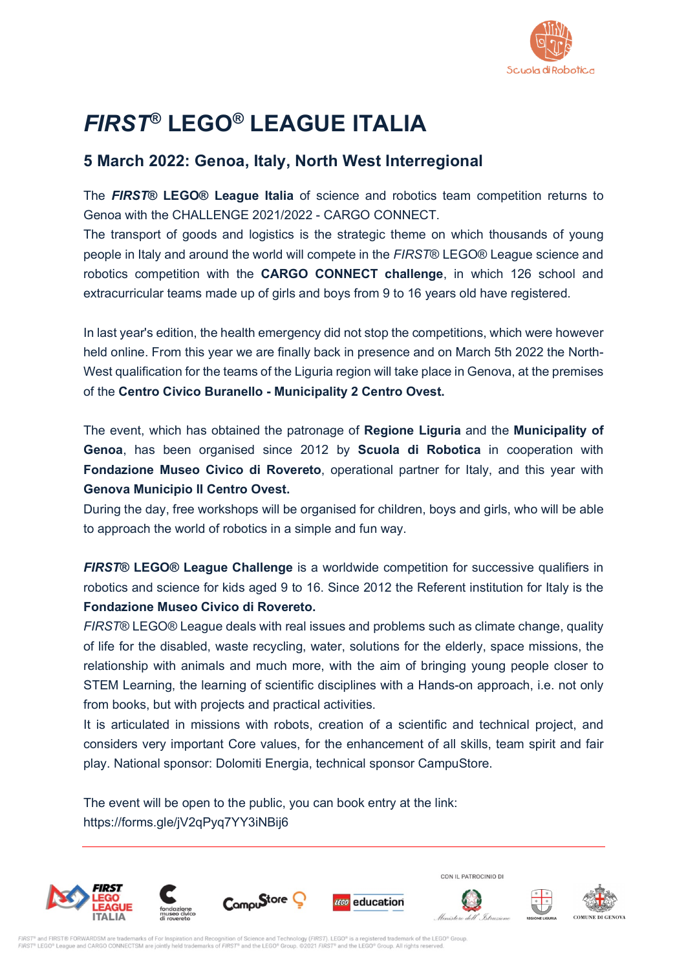

# *FIRST***® LEGO® LEAGUE ITALIA**

## **5 March 2022: Genoa, Italy, North West Interregional**

The *FIRST***® LEGO® League Italia** of science and robotics team competition returns to Genoa with the CHALLENGE 2021/2022 - CARGO CONNECT.

The transport of goods and logistics is the strategic theme on which thousands of young people in Italy and around the world will compete in the *FIRST*® LEGO® League science and robotics competition with the **CARGO CONNECT challenge**, in which 126 school and extracurricular teams made up of girls and boys from 9 to 16 years old have registered.

In last year's edition, the health emergency did not stop the competitions, which were however held online. From this year we are finally back in presence and on March 5th 2022 the North-West qualification for the teams of the Liguria region will take place in Genova, at the premises of the **Centro Civico Buranello - Municipality 2 Centro Ovest.**

The event, which has obtained the patronage of **Regione Liguria** and the **Municipality of Genoa**, has been organised since 2012 by **Scuola di Robotica** in cooperation with **Fondazione Museo Civico di Rovereto**, operational partner for Italy, and this year with **Genova Municipio II Centro Ovest.**

During the day, free workshops will be organised for children, boys and girls, who will be able to approach the world of robotics in a simple and fun way.

*FIRST***® LEGO® League Challenge** is a worldwide competition for successive qualifiers in robotics and science for kids aged 9 to 16. Since 2012 the Referent institution for Italy is the **Fondazione Museo Civico di Rovereto.**

*FIRST*® LEGO® League deals with real issues and problems such as climate change, quality of life for the disabled, waste recycling, water, solutions for the elderly, space missions, the relationship with animals and much more, with the aim of bringing young people closer to STEM Learning, the learning of scientific disciplines with a Hands-on approach, i.e. not only from books, but with projects and practical activities.

It is articulated in missions with robots, creation of a scientific and technical project, and considers very important Core values, for the enhancement of all skills, team spirit and fair play. National sponsor: Dolomiti Energia, technical sponsor CampuStore.

The event will be open to the public, you can book entry at the link: https://forms.gle/jV2qPyq7YY3iNBij6



and FIRST® FORWARDSM are trademarks of For Inspiration and Recognition of Science and Technology (FIRST). LEGO® is a registered trademark of the LEGO® Group FIRST® LEGO® League and CARGO CONNECTSM are jointly held trademarks of FIRST® and the LEGO® Group. ©2021 FIRST® and the LEGO® Group. All rights reserved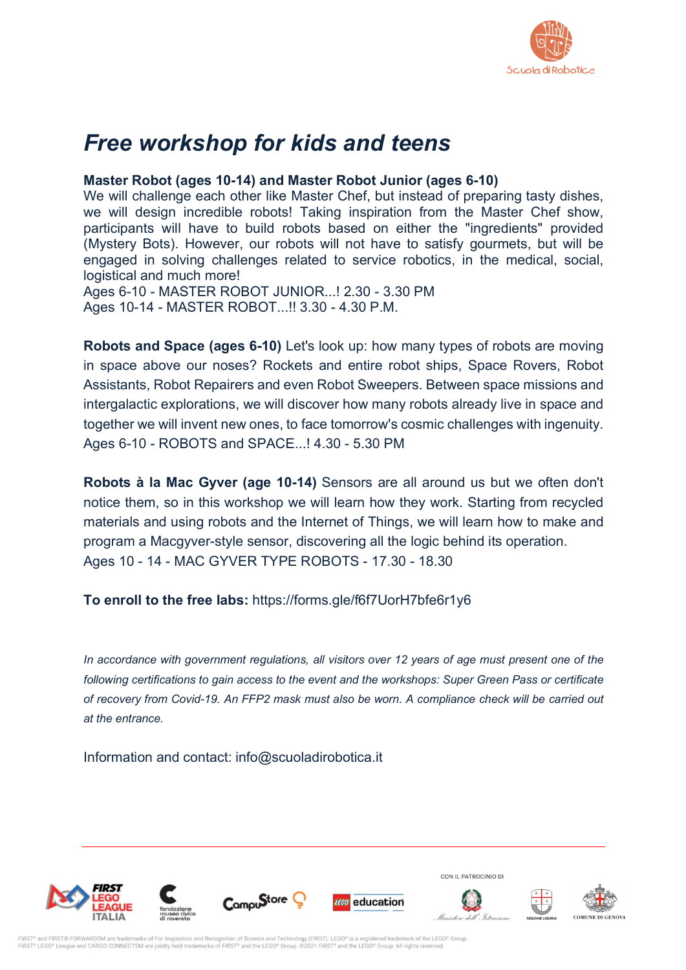

## *Free workshop for kids and teens*

#### **Master Robot (ages 10-14) and Master Robot Junior (ages 6-10)**

We will challenge each other like Master Chef, but instead of preparing tasty dishes, we will design incredible robots! Taking inspiration from the Master Chef show, participants will have to build robots based on either the "ingredients" provided (Mystery Bots). However, our robots will not have to satisfy gourmets, but will be engaged in solving challenges related to service robotics, in the medical, social, logistical and much more!

Ages 6-10 - MASTER ROBOT JUNIOR...! 2.30 - 3.30 PM Ages 10-14 - MASTER ROBOT...!! 3.30 - 4.30 P.M.

**Robots and Space (ages 6-10)** Let's look up: how many types of robots are moving in space above our noses? Rockets and entire robot ships, Space Rovers, Robot Assistants, Robot Repairers and even Robot Sweepers. Between space missions and intergalactic explorations, we will discover how many robots already live in space and together we will invent new ones, to face tomorrow's cosmic challenges with ingenuity. Ages 6-10 - ROBOTS and SPACE...! 4.30 - 5.30 PM

**Robots à la Mac Gyver (age 10-14)** Sensors are all around us but we often don't notice them, so in this workshop we will learn how they work. Starting from recycled materials and using robots and the Internet of Things, we will learn how to make and program a Macgyver-style sensor, discovering all the logic behind its operation. Ages 10 - 14 - MAC GYVER TYPE ROBOTS - 17.30 - 18.30

**To enroll to the free labs:** https://forms.gle/f6f7UorH7bfe6r1y6

*In accordance with government regulations, all visitors over 12 years of age must present one of the following certifications to gain access to the event and the workshops: Super Green Pass or certificate of recovery from Covid-19. An FFP2 mask must also be worn. A compliance check will be carried out at the entrance.*

Information and contact: info@scuoladirobotica.it











CON IL PATROCINIO DI





gnition of Science and Technology (FIRST). LEGO® is a registered trademark of the LEGO® Group and FIRST® FORWARDSM are trademarks of For Inspiration and Reco FIRST® LEGO® League and CARGO CONNECTSM are jointly held trademarks of FIRST® and the LEGO® Group. ©2021 FIRST® and the LEGO® Group. All rights reserved